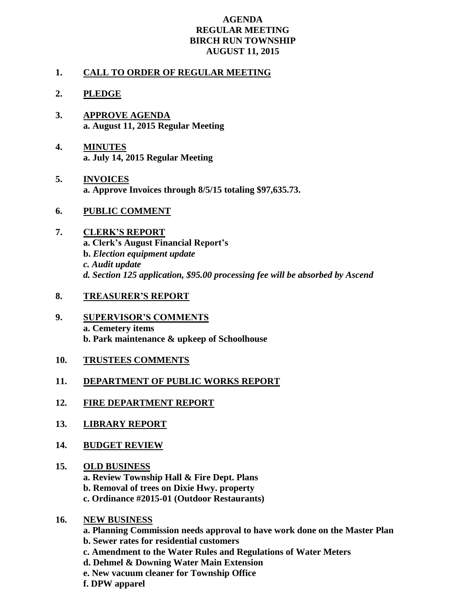## **AGENDA REGULAR MEETING BIRCH RUN TOWNSHIP AUGUST 11, 2015**

## **1. CALL TO ORDER OF REGULAR MEETING**

## **2. PLEDGE**

- **3. APPROVE AGENDA a. August 11, 2015 Regular Meeting**
- **4. MINUTES a. July 14, 2015 Regular Meeting**
- **5. INVOICES a. Approve Invoices through 8/5/15 totaling \$97,635.73.**
- **6. PUBLIC COMMENT**
- **7. CLERK'S REPORT a. Clerk's August Financial Report's b.** *Election equipment update c. Audit update d. Section 125 application, \$95.00 processing fee will be absorbed by Ascend*
- **8. TREASURER'S REPORT**
- **9. SUPERVISOR'S COMMENTS a. Cemetery items b. Park maintenance & upkeep of Schoolhouse**
- **10. TRUSTEES COMMENTS**
- **11. DEPARTMENT OF PUBLIC WORKS REPORT**
- **12. FIRE DEPARTMENT REPORT**
- **13. LIBRARY REPORT**
- **14. BUDGET REVIEW**
- **15. OLD BUSINESS a. Review Township Hall & Fire Dept. Plans b. Removal of trees on Dixie Hwy. property c. Ordinance #2015-01 (Outdoor Restaurants)**
- **16. NEW BUSINESS**
	- **a. Planning Commission needs approval to have work done on the Master Plan**
	- **b. Sewer rates for residential customers**
	- **c. Amendment to the Water Rules and Regulations of Water Meters**
	- **d. Dehmel & Downing Water Main Extension**
	- **e. New vacuum cleaner for Township Office**
	- **f. DPW apparel**